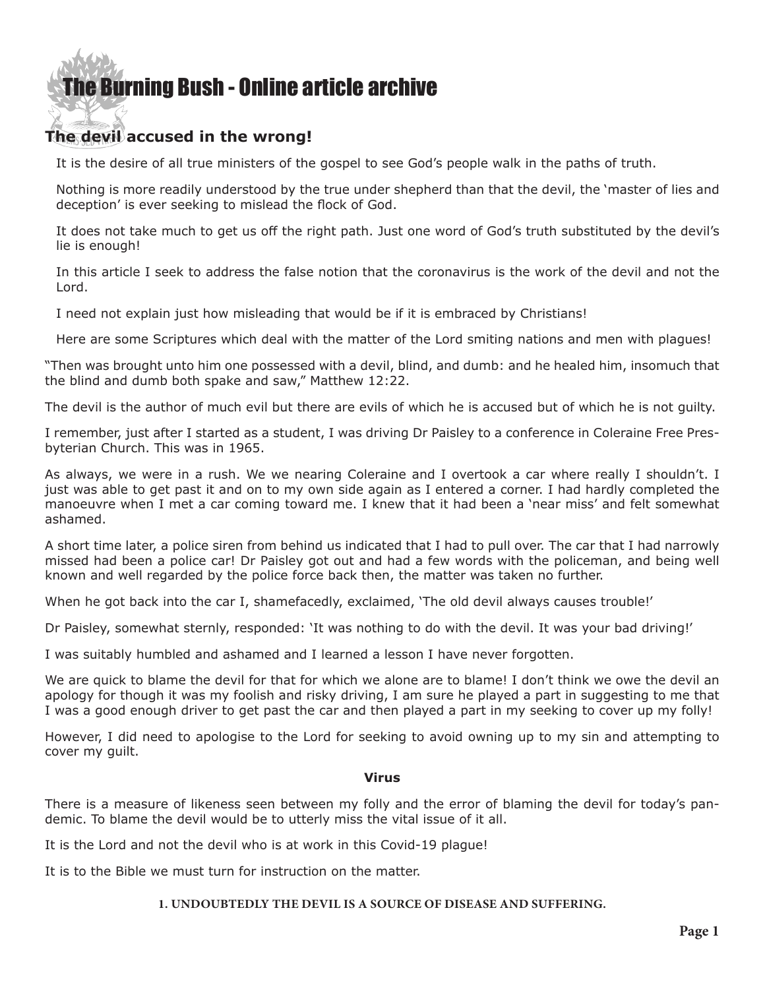#### **The devil accused in the wrong!**

It is the desire of all true ministers of the gospel to see God's people walk in the paths of truth.

Nothing is more readily understood by the true under shepherd than that the devil, the 'master of lies and deception' is ever seeking to mislead the flock of God.

It does not take much to get us off the right path. Just one word of God's truth substituted by the devil's lie is enough!

In this article I seek to address the false notion that the coronavirus is the work of the devil and not the Lord.

I need not explain just how misleading that would be if it is embraced by Christians!

Here are some Scriptures which deal with the matter of the Lord smiting nations and men with plagues!

"Then was brought unto him one possessed with a devil, blind, and dumb: and he healed him, insomuch that the blind and dumb both spake and saw," Matthew 12:22.

The devil is the author of much evil but there are evils of which he is accused but of which he is not guilty.

I remember, just after I started as a student, I was driving Dr Paisley to a conference in Coleraine Free Presbyterian Church. This was in 1965.

As always, we were in a rush. We we nearing Coleraine and I overtook a car where really I shouldn't. I just was able to get past it and on to my own side again as I entered a corner. I had hardly completed the manoeuvre when I met a car coming toward me. I knew that it had been a 'near miss' and felt somewhat ashamed.

A short time later, a police siren from behind us indicated that I had to pull over. The car that I had narrowly missed had been a police car! Dr Paisley got out and had a few words with the policeman, and being well known and well regarded by the police force back then, the matter was taken no further.

When he got back into the car I, shamefacedly, exclaimed, 'The old devil always causes trouble!'

Dr Paisley, somewhat sternly, responded: 'It was nothing to do with the devil. It was your bad driving!'

I was suitably humbled and ashamed and I learned a lesson I have never forgotten.

We are quick to blame the devil for that for which we alone are to blame! I don't think we owe the devil an apology for though it was my foolish and risky driving, I am sure he played a part in suggesting to me that I was a good enough driver to get past the car and then played a part in my seeking to cover up my folly!

However, I did need to apologise to the Lord for seeking to avoid owning up to my sin and attempting to cover my guilt.

#### **Virus**

There is a measure of likeness seen between my folly and the error of blaming the devil for today's pandemic. To blame the devil would be to utterly miss the vital issue of it all.

It is the Lord and not the devil who is at work in this Covid-19 plague!

It is to the Bible we must turn for instruction on the matter.

#### **1. UNDOUBTEDLY THE DEVIL IS A SOURCE OF DISEASE AND SUFFERING.**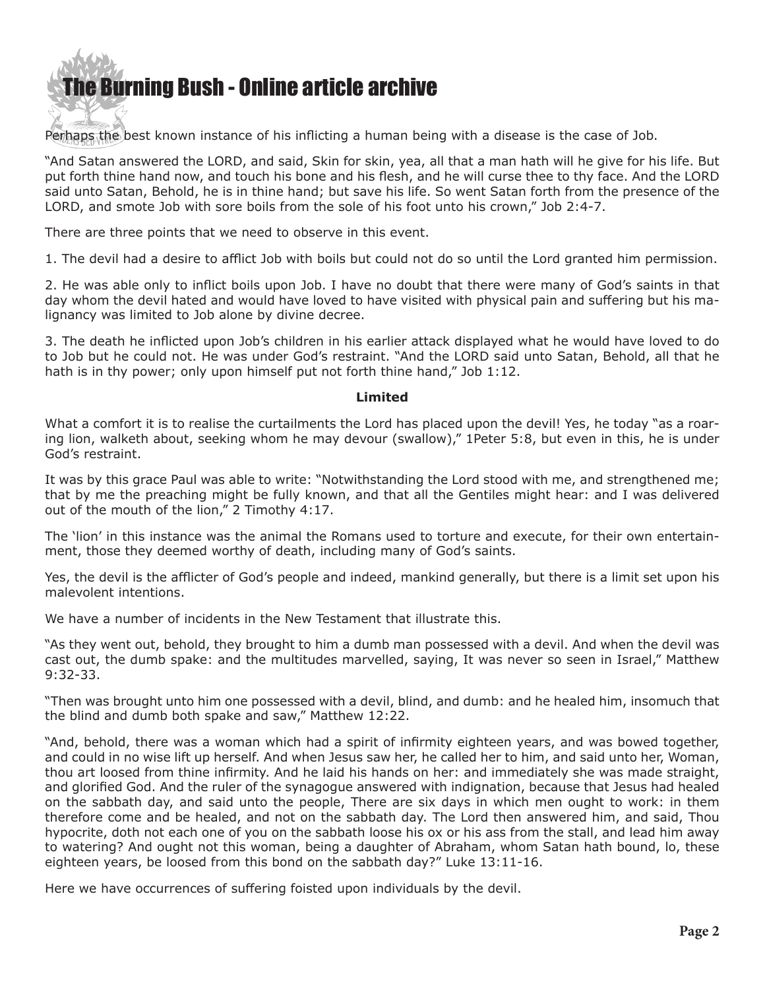Perhaps the best known instance of his inflicting a human being with a disease is the case of Job.

"And Satan answered the LORD, and said, Skin for skin, yea, all that a man hath will he give for his life. But put forth thine hand now, and touch his bone and his flesh, and he will curse thee to thy face. And the LORD said unto Satan, Behold, he is in thine hand; but save his life. So went Satan forth from the presence of the LORD, and smote Job with sore boils from the sole of his foot unto his crown," Job 2:4-7.

There are three points that we need to observe in this event.

1. The devil had a desire to afflict Job with boils but could not do so until the Lord granted him permission.

2. He was able only to inflict boils upon Job. I have no doubt that there were many of God's saints in that day whom the devil hated and would have loved to have visited with physical pain and suffering but his malignancy was limited to Job alone by divine decree.

3. The death he inflicted upon Job's children in his earlier attack displayed what he would have loved to do to Job but he could not. He was under God's restraint. "And the LORD said unto Satan, Behold, all that he hath is in thy power; only upon himself put not forth thine hand," Job 1:12.

#### **Limited**

What a comfort it is to realise the curtailments the Lord has placed upon the devil! Yes, he today "as a roaring lion, walketh about, seeking whom he may devour (swallow)," 1Peter 5:8, but even in this, he is under God's restraint.

It was by this grace Paul was able to write: "Notwithstanding the Lord stood with me, and strengthened me; that by me the preaching might be fully known, and that all the Gentiles might hear: and I was delivered out of the mouth of the lion," 2 Timothy 4:17.

The 'lion' in this instance was the animal the Romans used to torture and execute, for their own entertainment, those they deemed worthy of death, including many of God's saints.

Yes, the devil is the afflicter of God's people and indeed, mankind generally, but there is a limit set upon his malevolent intentions.

We have a number of incidents in the New Testament that illustrate this.

"As they went out, behold, they brought to him a dumb man possessed with a devil. And when the devil was cast out, the dumb spake: and the multitudes marvelled, saying, It was never so seen in Israel," Matthew 9:32-33.

"Then was brought unto him one possessed with a devil, blind, and dumb: and he healed him, insomuch that the blind and dumb both spake and saw," Matthew 12:22.

"And, behold, there was a woman which had a spirit of infirmity eighteen years, and was bowed together, and could in no wise lift up herself. And when Jesus saw her, he called her to him, and said unto her, Woman, thou art loosed from thine infirmity. And he laid his hands on her: and immediately she was made straight, and glorified God. And the ruler of the synagogue answered with indignation, because that Jesus had healed on the sabbath day, and said unto the people, There are six days in which men ought to work: in them therefore come and be healed, and not on the sabbath day. The Lord then answered him, and said, Thou hypocrite, doth not each one of you on the sabbath loose his ox or his ass from the stall, and lead him away to watering? And ought not this woman, being a daughter of Abraham, whom Satan hath bound, lo, these eighteen years, be loosed from this bond on the sabbath day?" Luke 13:11-16.

Here we have occurrences of suffering foisted upon individuals by the devil.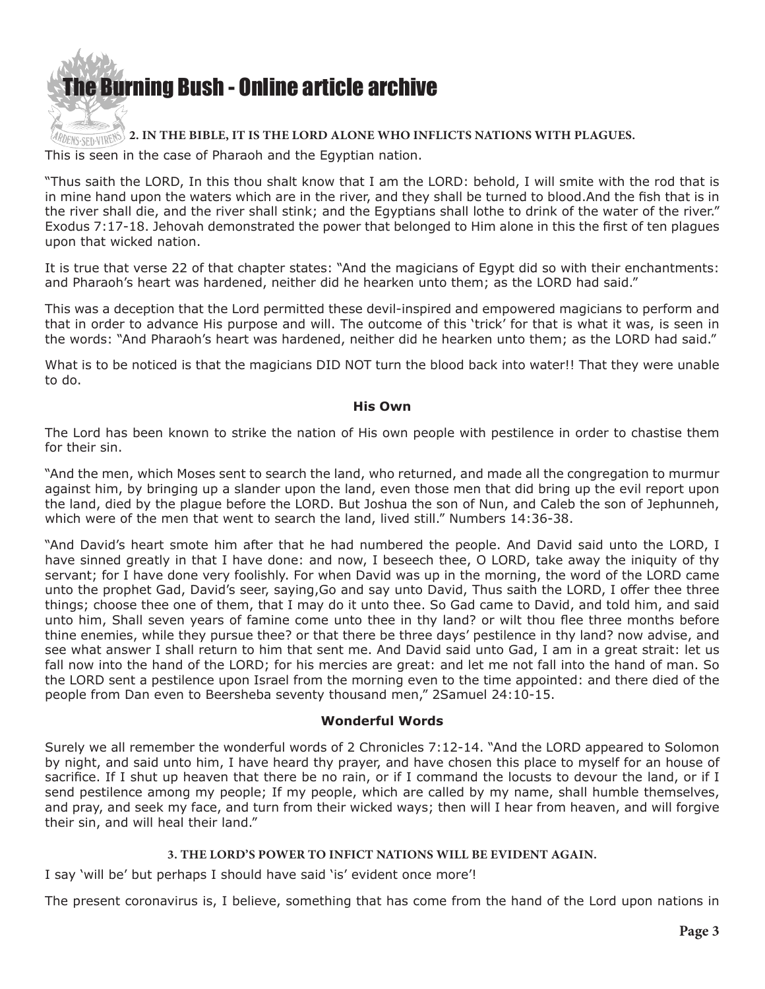

#### **2. IN THE BIBLE, IT IS THE LORD ALONE WHO INFLICTS NATIONS WITH PLAGUES.**

This is seen in the case of Pharaoh and the Egyptian nation.

"Thus saith the LORD, In this thou shalt know that I am the LORD: behold, I will smite with the rod that is in mine hand upon the waters which are in the river, and they shall be turned to blood.And the fish that is in the river shall die, and the river shall stink; and the Egyptians shall lothe to drink of the water of the river." Exodus 7:17-18. Jehovah demonstrated the power that belonged to Him alone in this the first of ten plagues upon that wicked nation.

It is true that verse 22 of that chapter states: "And the magicians of Egypt did so with their enchantments: and Pharaoh's heart was hardened, neither did he hearken unto them; as the LORD had said."

This was a deception that the Lord permitted these devil-inspired and empowered magicians to perform and that in order to advance His purpose and will. The outcome of this 'trick' for that is what it was, is seen in the words: "And Pharaoh's heart was hardened, neither did he hearken unto them; as the LORD had said."

What is to be noticed is that the magicians DID NOT turn the blood back into water!! That they were unable to do.

#### **His Own**

The Lord has been known to strike the nation of His own people with pestilence in order to chastise them for their sin.

"And the men, which Moses sent to search the land, who returned, and made all the congregation to murmur against him, by bringing up a slander upon the land, even those men that did bring up the evil report upon the land, died by the plague before the LORD. But Joshua the son of Nun, and Caleb the son of Jephunneh, which were of the men that went to search the land, lived still." Numbers 14:36-38.

"And David's heart smote him after that he had numbered the people. And David said unto the LORD, I have sinned greatly in that I have done: and now, I beseech thee, O LORD, take away the iniquity of thy servant; for I have done very foolishly. For when David was up in the morning, the word of the LORD came unto the prophet Gad, David's seer, saying,Go and say unto David, Thus saith the LORD, I offer thee three things; choose thee one of them, that I may do it unto thee. So Gad came to David, and told him, and said unto him, Shall seven years of famine come unto thee in thy land? or wilt thou flee three months before thine enemies, while they pursue thee? or that there be three days' pestilence in thy land? now advise, and see what answer I shall return to him that sent me. And David said unto Gad, I am in a great strait: let us fall now into the hand of the LORD; for his mercies are great: and let me not fall into the hand of man. So the LORD sent a pestilence upon Israel from the morning even to the time appointed: and there died of the people from Dan even to Beersheba seventy thousand men," 2Samuel 24:10-15.

#### **Wonderful Words**

Surely we all remember the wonderful words of 2 Chronicles 7:12-14. "And the LORD appeared to Solomon by night, and said unto him, I have heard thy prayer, and have chosen this place to myself for an house of sacrifice. If I shut up heaven that there be no rain, or if I command the locusts to devour the land, or if I send pestilence among my people; If my people, which are called by my name, shall humble themselves, and pray, and seek my face, and turn from their wicked ways; then will I hear from heaven, and will forgive their sin, and will heal their land."

#### **3. THE LORD'S POWER TO INFICT NATIONS WILL BE EVIDENT AGAIN.**

I say 'will be' but perhaps I should have said 'is' evident once more'!

The present coronavirus is, I believe, something that has come from the hand of the Lord upon nations in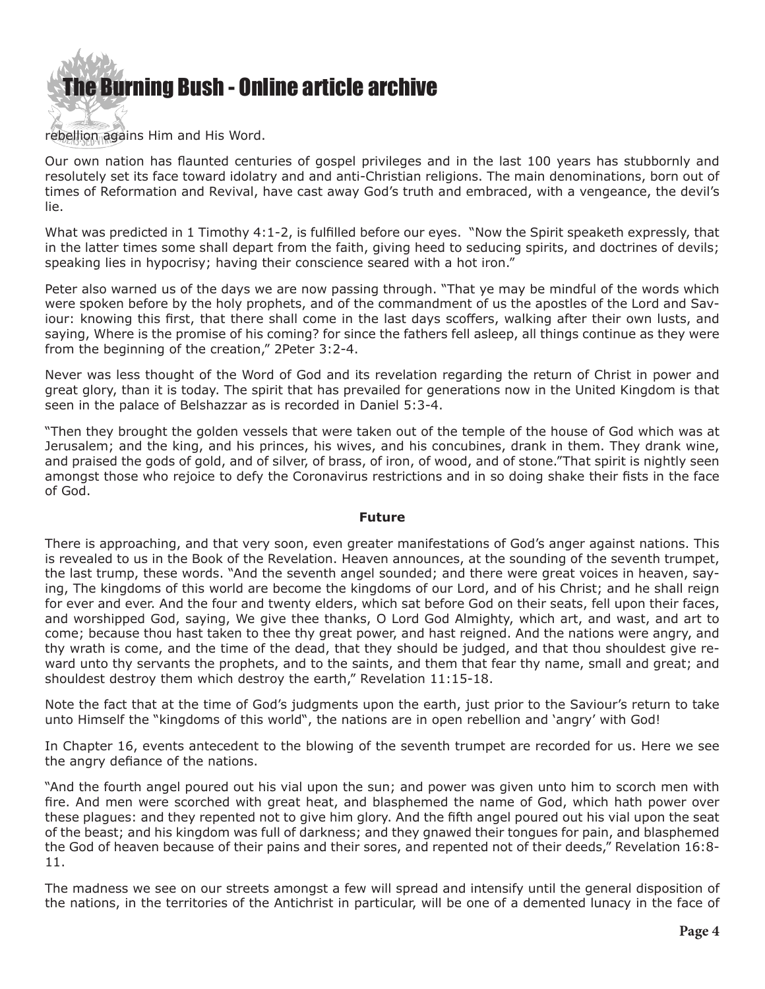

#### rebellion agains Him and His Word.

Our own nation has flaunted centuries of gospel privileges and in the last 100 years has stubbornly and resolutely set its face toward idolatry and and anti-Christian religions. The main denominations, born out of times of Reformation and Revival, have cast away God's truth and embraced, with a vengeance, the devil's lie.

What was predicted in 1 Timothy 4:1-2, is fulfilled before our eyes. "Now the Spirit speaketh expressly, that in the latter times some shall depart from the faith, giving heed to seducing spirits, and doctrines of devils; speaking lies in hypocrisy; having their conscience seared with a hot iron."

Peter also warned us of the days we are now passing through. "That ye may be mindful of the words which were spoken before by the holy prophets, and of the commandment of us the apostles of the Lord and Saviour: knowing this first, that there shall come in the last days scoffers, walking after their own lusts, and saying, Where is the promise of his coming? for since the fathers fell asleep, all things continue as they were from the beginning of the creation," 2Peter 3:2-4.

Never was less thought of the Word of God and its revelation regarding the return of Christ in power and great glory, than it is today. The spirit that has prevailed for generations now in the United Kingdom is that seen in the palace of Belshazzar as is recorded in Daniel 5:3-4.

"Then they brought the golden vessels that were taken out of the temple of the house of God which was at Jerusalem; and the king, and his princes, his wives, and his concubines, drank in them. They drank wine, and praised the gods of gold, and of silver, of brass, of iron, of wood, and of stone."That spirit is nightly seen amongst those who rejoice to defy the Coronavirus restrictions and in so doing shake their fists in the face of God.

#### **Future**

There is approaching, and that very soon, even greater manifestations of God's anger against nations. This is revealed to us in the Book of the Revelation. Heaven announces, at the sounding of the seventh trumpet, the last trump, these words. "And the seventh angel sounded; and there were great voices in heaven, saying, The kingdoms of this world are become the kingdoms of our Lord, and of his Christ; and he shall reign for ever and ever. And the four and twenty elders, which sat before God on their seats, fell upon their faces, and worshipped God, saying, We give thee thanks, O Lord God Almighty, which art, and wast, and art to come; because thou hast taken to thee thy great power, and hast reigned. And the nations were angry, and thy wrath is come, and the time of the dead, that they should be judged, and that thou shouldest give reward unto thy servants the prophets, and to the saints, and them that fear thy name, small and great; and shouldest destroy them which destroy the earth," Revelation 11:15-18.

Note the fact that at the time of God's judgments upon the earth, just prior to the Saviour's return to take unto Himself the "kingdoms of this world", the nations are in open rebellion and 'angry' with God!

In Chapter 16, events antecedent to the blowing of the seventh trumpet are recorded for us. Here we see the angry defiance of the nations.

"And the fourth angel poured out his vial upon the sun; and power was given unto him to scorch men with fire. And men were scorched with great heat, and blasphemed the name of God, which hath power over these plagues: and they repented not to give him glory. And the fifth angel poured out his vial upon the seat of the beast; and his kingdom was full of darkness; and they gnawed their tongues for pain, and blasphemed the God of heaven because of their pains and their sores, and repented not of their deeds," Revelation 16:8- 11.

The madness we see on our streets amongst a few will spread and intensify until the general disposition of the nations, in the territories of the Antichrist in particular, will be one of a demented lunacy in the face of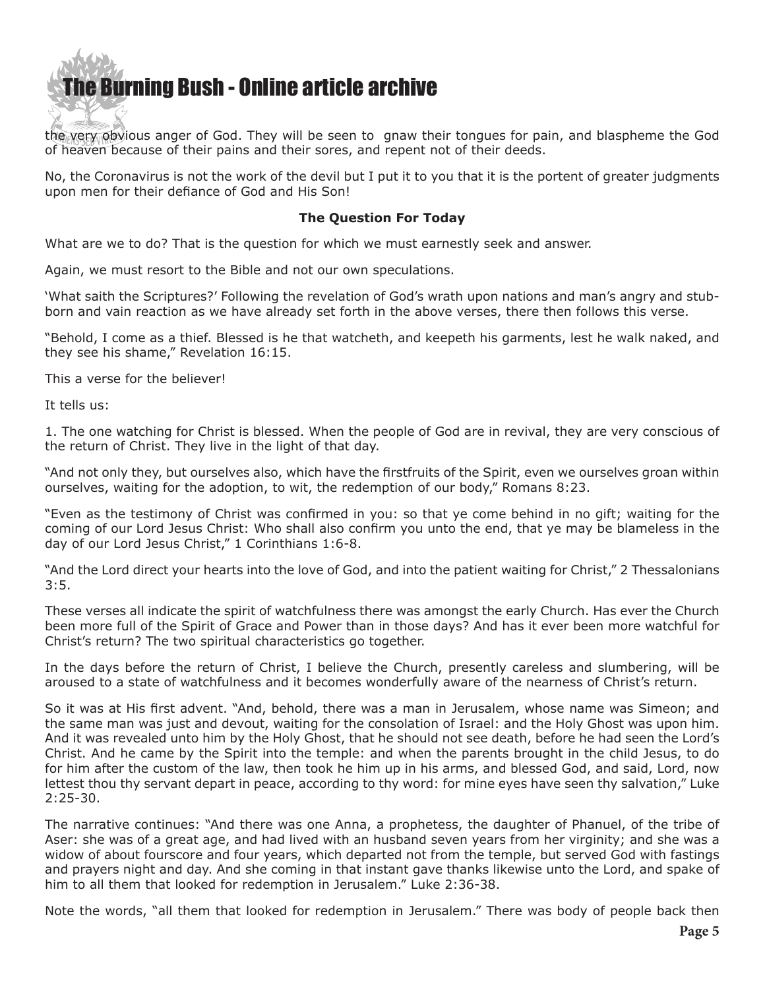the very obvious anger of God. They will be seen to gnaw their tongues for pain, and blaspheme the God of heaven because of their pains and their sores, and repent not of their deeds.

No, the Coronavirus is not the work of the devil but I put it to you that it is the portent of greater judgments upon men for their defiance of God and His Son!

#### **The Question For Today**

What are we to do? That is the question for which we must earnestly seek and answer.

Again, we must resort to the Bible and not our own speculations.

'What saith the Scriptures?' Following the revelation of God's wrath upon nations and man's angry and stubborn and vain reaction as we have already set forth in the above verses, there then follows this verse.

"Behold, I come as a thief. Blessed is he that watcheth, and keepeth his garments, lest he walk naked, and they see his shame," Revelation 16:15.

This a verse for the believer!

It tells us:

1. The one watching for Christ is blessed. When the people of God are in revival, they are very conscious of the return of Christ. They live in the light of that day.

"And not only they, but ourselves also, which have the firstfruits of the Spirit, even we ourselves groan within ourselves, waiting for the adoption, to wit, the redemption of our body," Romans 8:23.

"Even as the testimony of Christ was confirmed in you: so that ye come behind in no gift; waiting for the coming of our Lord Jesus Christ: Who shall also confirm you unto the end, that ye may be blameless in the day of our Lord Jesus Christ," 1 Corinthians 1:6-8.

"And the Lord direct your hearts into the love of God, and into the patient waiting for Christ," 2 Thessalonians  $3:5.$ 

These verses all indicate the spirit of watchfulness there was amongst the early Church. Has ever the Church been more full of the Spirit of Grace and Power than in those days? And has it ever been more watchful for Christ's return? The two spiritual characteristics go together.

In the days before the return of Christ, I believe the Church, presently careless and slumbering, will be aroused to a state of watchfulness and it becomes wonderfully aware of the nearness of Christ's return.

So it was at His first advent. "And, behold, there was a man in Jerusalem, whose name was Simeon; and the same man was just and devout, waiting for the consolation of Israel: and the Holy Ghost was upon him. And it was revealed unto him by the Holy Ghost, that he should not see death, before he had seen the Lord's Christ. And he came by the Spirit into the temple: and when the parents brought in the child Jesus, to do for him after the custom of the law, then took he him up in his arms, and blessed God, and said, Lord, now lettest thou thy servant depart in peace, according to thy word: for mine eyes have seen thy salvation," Luke 2:25-30.

The narrative continues: "And there was one Anna, a prophetess, the daughter of Phanuel, of the tribe of Aser: she was of a great age, and had lived with an husband seven years from her virginity; and she was a widow of about fourscore and four years, which departed not from the temple, but served God with fastings and prayers night and day. And she coming in that instant gave thanks likewise unto the Lord, and spake of him to all them that looked for redemption in Jerusalem." Luke 2:36-38.

Note the words, "all them that looked for redemption in Jerusalem." There was body of people back then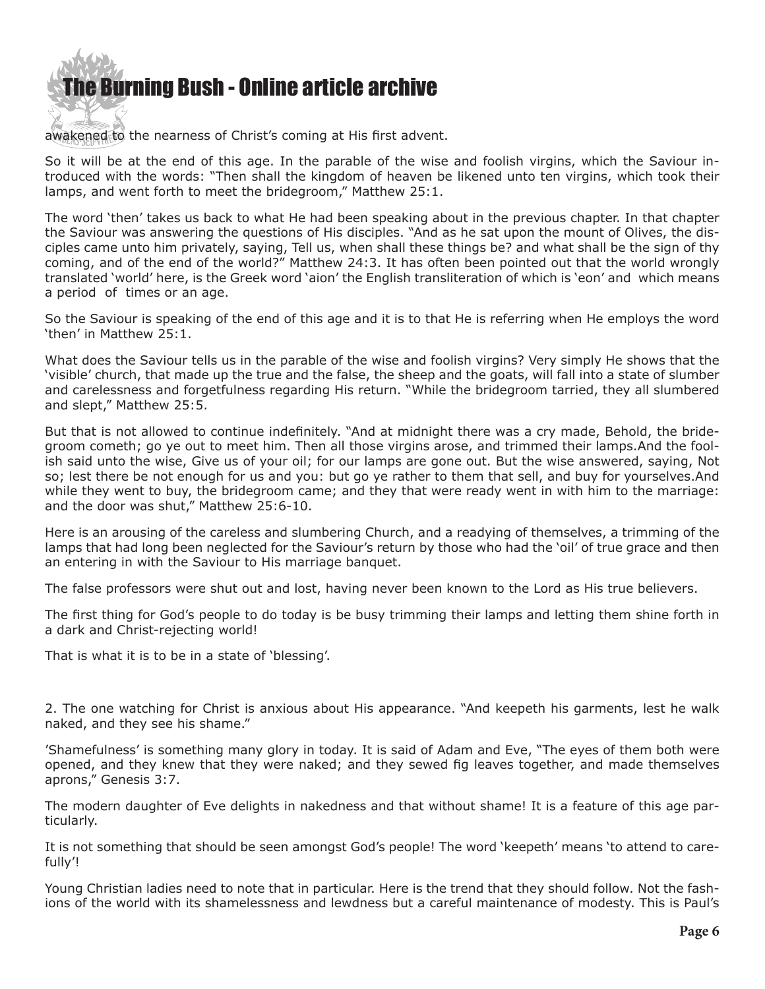awakened to the nearness of Christ's coming at His first advent.

So it will be at the end of this age. In the parable of the wise and foolish virgins, which the Saviour introduced with the words: "Then shall the kingdom of heaven be likened unto ten virgins, which took their lamps, and went forth to meet the bridegroom," Matthew 25:1.

The word 'then' takes us back to what He had been speaking about in the previous chapter. In that chapter the Saviour was answering the questions of His disciples. "And as he sat upon the mount of Olives, the disciples came unto him privately, saying, Tell us, when shall these things be? and what shall be the sign of thy coming, and of the end of the world?" Matthew 24:3. It has often been pointed out that the world wrongly translated 'world' here, is the Greek word 'aion' the English transliteration of which is 'eon' and which means a period of times or an age.

So the Saviour is speaking of the end of this age and it is to that He is referring when He employs the word 'then' in Matthew 25:1.

What does the Saviour tells us in the parable of the wise and foolish virgins? Very simply He shows that the 'visible' church, that made up the true and the false, the sheep and the goats, will fall into a state of slumber and carelessness and forgetfulness regarding His return. "While the bridegroom tarried, they all slumbered and slept," Matthew 25:5.

But that is not allowed to continue indefinitely. "And at midnight there was a cry made, Behold, the bridegroom cometh; go ye out to meet him. Then all those virgins arose, and trimmed their lamps.And the foolish said unto the wise, Give us of your oil; for our lamps are gone out. But the wise answered, saying, Not so; lest there be not enough for us and you: but go ye rather to them that sell, and buy for yourselves.And while they went to buy, the bridegroom came; and they that were ready went in with him to the marriage: and the door was shut," Matthew 25:6-10.

Here is an arousing of the careless and slumbering Church, and a readying of themselves, a trimming of the lamps that had long been neglected for the Saviour's return by those who had the 'oil' of true grace and then an entering in with the Saviour to His marriage banquet.

The false professors were shut out and lost, having never been known to the Lord as His true believers.

The first thing for God's people to do today is be busy trimming their lamps and letting them shine forth in a dark and Christ-rejecting world!

That is what it is to be in a state of 'blessing'.

2. The one watching for Christ is anxious about His appearance. "And keepeth his garments, lest he walk naked, and they see his shame."

'Shamefulness' is something many glory in today. It is said of Adam and Eve, "The eyes of them both were opened, and they knew that they were naked; and they sewed fig leaves together, and made themselves aprons," Genesis 3:7.

The modern daughter of Eve delights in nakedness and that without shame! It is a feature of this age particularly.

It is not something that should be seen amongst God's people! The word 'keepeth' means 'to attend to carefully'!

Young Christian ladies need to note that in particular. Here is the trend that they should follow. Not the fashions of the world with its shamelessness and lewdness but a careful maintenance of modesty. This is Paul's